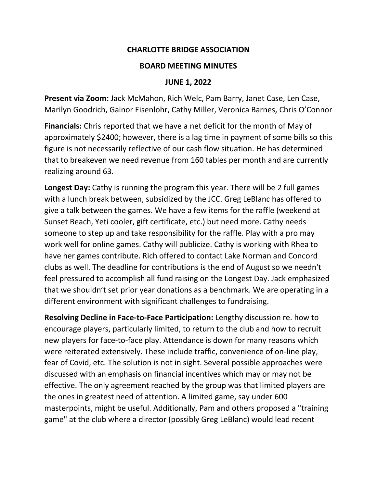## **CHARLOTTE BRIDGE ASSOCIATION**

## **BOARD MEETING MINUTES**

## **JUNE 1, 2022**

**Present via Zoom:** Jack McMahon, Rich Welc, Pam Barry, Janet Case, Len Case, Marilyn Goodrich, Gainor Eisenlohr, Cathy Miller, Veronica Barnes, Chris O'Connor

**Financials:** Chris reported that we have a net deficit for the month of May of approximately \$2400; however, there is a lag time in payment of some bills so this figure is not necessarily reflective of our cash flow situation. He has determined that to breakeven we need revenue from 160 tables per month and are currently realizing around 63.

**Longest Day:** Cathy is running the program this year. There will be 2 full games with a lunch break between, subsidized by the JCC. Greg LeBlanc has offered to give a talk between the games. We have a few items for the raffle (weekend at Sunset Beach, Yeti cooler, gift certificate, etc.) but need more. Cathy needs someone to step up and take responsibility for the raffle. Play with a pro may work well for online games. Cathy will publicize. Cathy is working with Rhea to have her games contribute. Rich offered to contact Lake Norman and Concord clubs as well. The deadline for contributions is the end of August so we needn't feel pressured to accomplish all fund raising on the Longest Day. Jack emphasized that we shouldn't set prior year donations as a benchmark. We are operating in a different environment with significant challenges to fundraising.

**Resolving Decline in Face-to-Face Participation:** Lengthy discussion re. how to encourage players, particularly limited, to return to the club and how to recruit new players for face-to-face play. Attendance is down for many reasons which were reiterated extensively. These include traffic, convenience of on-line play, fear of Covid, etc. The solution is not in sight. Several possible approaches were discussed with an emphasis on financial incentives which may or may not be effective. The only agreement reached by the group was that limited players are the ones in greatest need of attention. A limited game, say under 600 masterpoints, might be useful. Additionally, Pam and others proposed a "training game" at the club where a director (possibly Greg LeBlanc) would lead recent